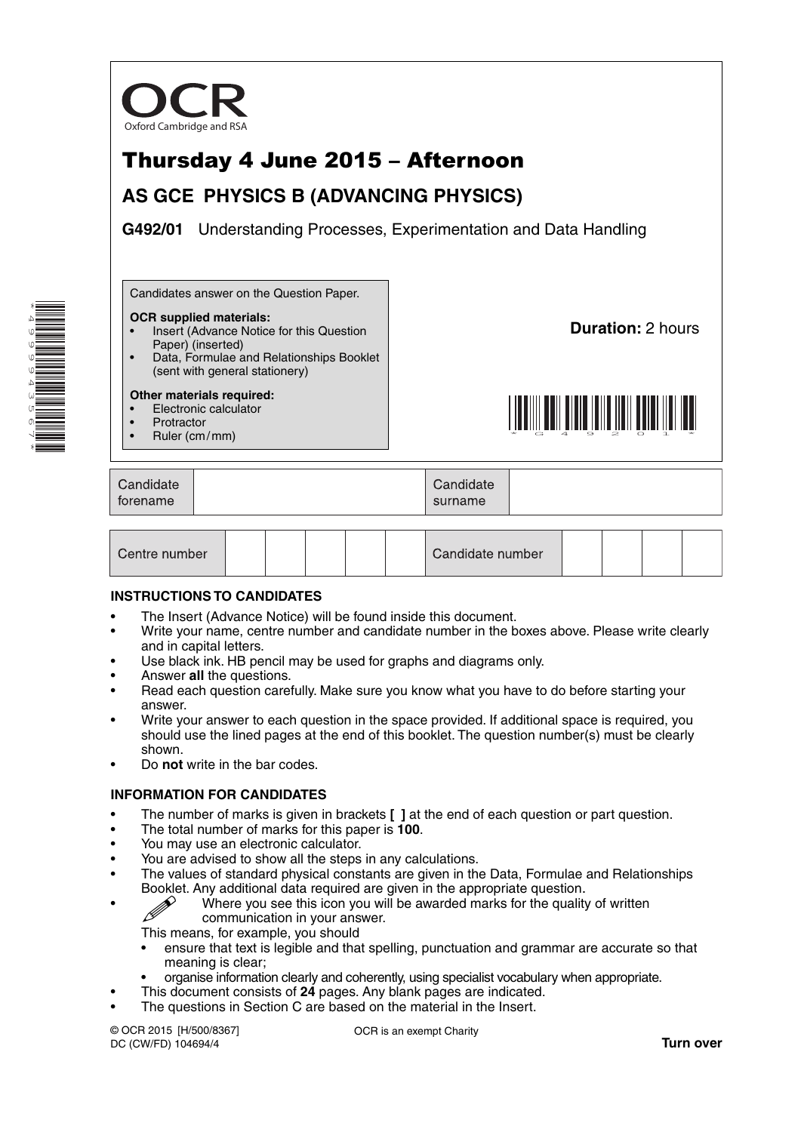

#### **INSTRUCTIONS TO CANDIDATES**

- The Insert (Advance Notice) will be found inside this document.
- Write your name, centre number and candidate number in the boxes above. Please write clearly and in capital letters.
- Use black ink. HB pencil may be used for graphs and diagrams only.
- Answer **all** the questions.
- Read each question carefully. Make sure you know what you have to do before starting your answer.
- Write your answer to each question in the space provided. If additional space is required, you should use the lined pages at the end of this booklet. The question number(s) must be clearly shown.
- Do **not** write in the bar codes.

#### **INFORMATION FOR CANDIDATES**

- The number of marks is given in brackets **[ ]** at the end of each question or part question.
- The total number of marks for this paper is **100**.
- You may use an electronic calculator.
- You are advised to show all the steps in any calculations.
- The values of standard physical constants are given in the Data, Formulae and Relationships Booklet. Any additional data required are given in the appropriate question.
	- Where you see this icon you will be awarded marks for the quality of written communication in your answer.

This means, for example, you should

- ensure that text is legible and that spelling, punctuation and grammar are accurate so that meaning is clear;
- organise information clearly and coherently, using specialist vocabulary when appropriate.
- This document consists of **24** pages. Any blank pages are indicated.
- The questions in Section C are based on the material in the Insert.

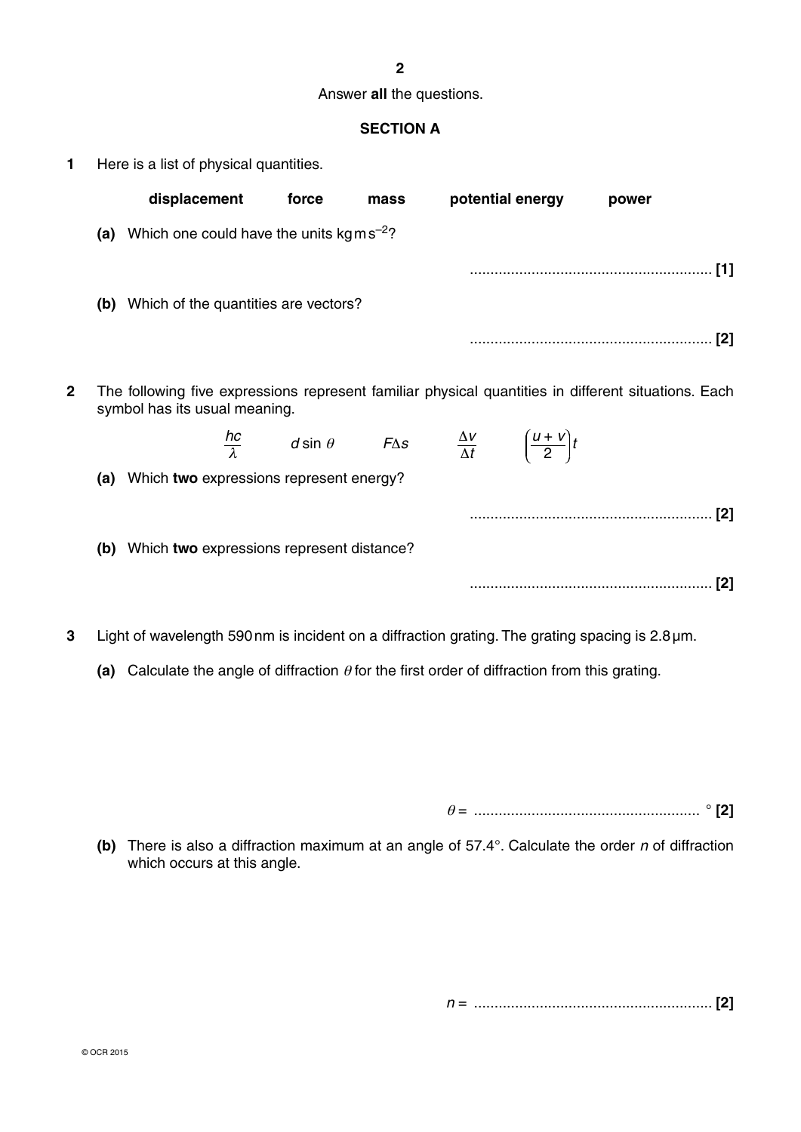**2**

Answer **all** the questions.

# **SECTION A**

| 1            | Here is a list of physical quantities.                                                                                               |                                                    |                                         |      |  |                                                           |       |
|--------------|--------------------------------------------------------------------------------------------------------------------------------------|----------------------------------------------------|-----------------------------------------|------|--|-----------------------------------------------------------|-------|
|              |                                                                                                                                      | displacement                                       | force                                   | mass |  | potential energy                                          | power |
|              |                                                                                                                                      | (a) Which one could have the units kg m $s^{-2}$ ? |                                         |      |  |                                                           |       |
|              |                                                                                                                                      |                                                    |                                         |      |  |                                                           |       |
|              |                                                                                                                                      | (b) Which of the quantities are vectors?           |                                         |      |  |                                                           |       |
|              |                                                                                                                                      |                                                    |                                         |      |  |                                                           |       |
| $\mathbf{2}$ | The following five expressions represent familiar physical quantities in different situations. Each<br>symbol has its usual meaning. |                                                    |                                         |      |  |                                                           |       |
|              |                                                                                                                                      |                                                    | $\frac{hc}{\lambda}$ d sin $\theta$ FAs |      |  | $\frac{\Delta V}{\Delta t}$ $\left(\frac{u+v}{2}\right)t$ |       |
|              |                                                                                                                                      | (a) Which two expressions represent energy?        |                                         |      |  |                                                           |       |
|              |                                                                                                                                      |                                                    |                                         |      |  |                                                           |       |
|              |                                                                                                                                      | (b) Which two expressions represent distance?      |                                         |      |  |                                                           |       |
|              |                                                                                                                                      |                                                    |                                         |      |  |                                                           | [2]   |
|              |                                                                                                                                      |                                                    |                                         |      |  |                                                           |       |

**3** Light of wavelength 590 nm is incident on a diffraction grating. The grating spacing is 2.8 µm.

 **(a)** Calculate the angle of diffraction θ for the first order of diffraction from this grating.

<sup>θ</sup> = ....................................................... ° **[2]**

 **(b)** There is also a diffraction maximum at an angle of 57.4°. Calculate the order *n* of diffraction which occurs at this angle.

*n* = .......................................................... **[2]**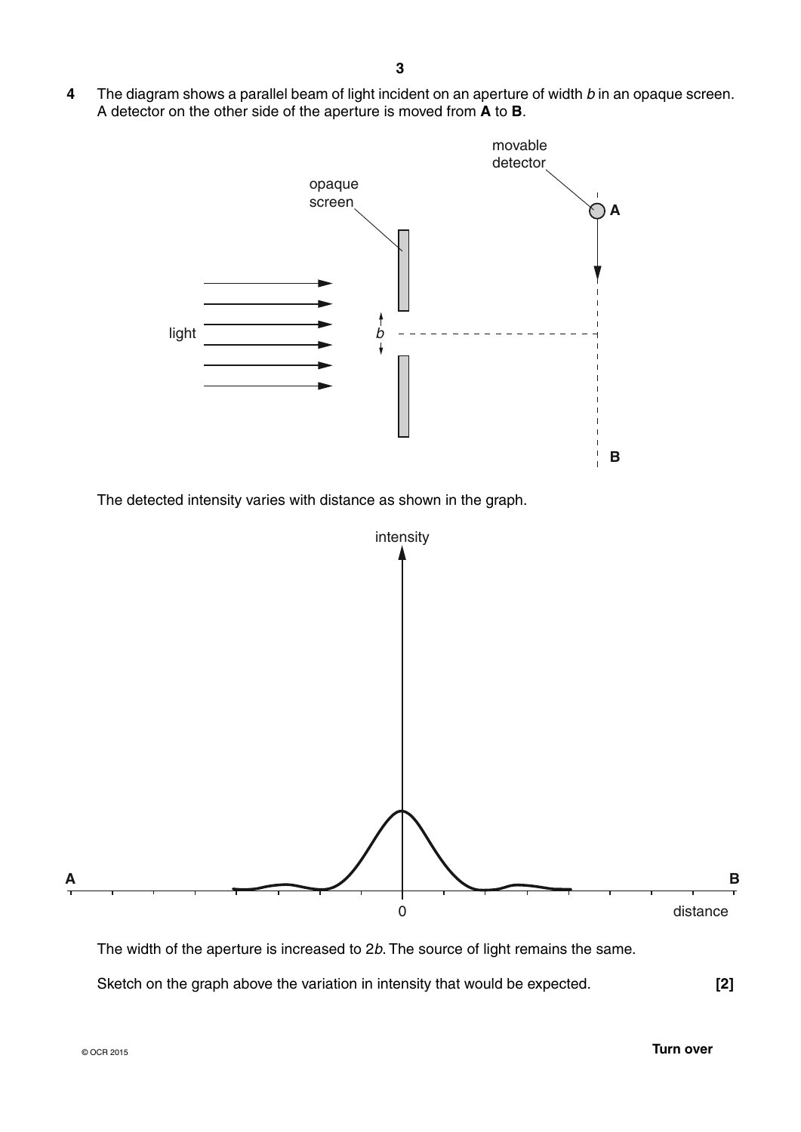**4** The diagram shows a parallel beam of light incident on an aperture of width *b* in an opaque screen. A detector on the other side of the aperture is moved from **A** to **B**.



The detected intensity varies with distance as shown in the graph.



The width of the aperture is increased to 2*b*. The source of light remains the same.

Sketch on the graph above the variation in intensity that would be expected. **[2]**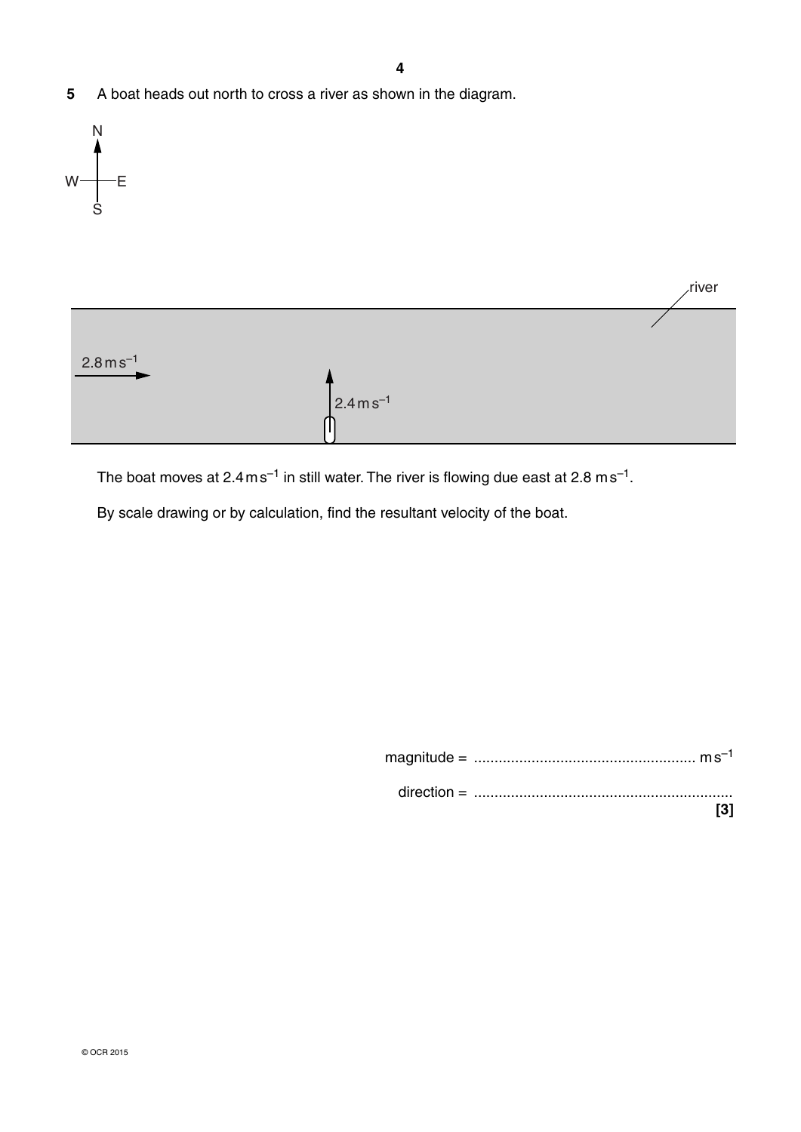**4**

**5** A boat heads out north to cross a river as shown in the diagram.



The boat moves at  $2.4 \text{ m s}^{-1}$  in still water. The river is flowing due east at  $2.8 \text{ m s}^{-1}$ .

By scale drawing or by calculation, find the resultant velocity of the boat.

 magnitude = ...................................................... m s–1 direction = ............................................................... **[3]**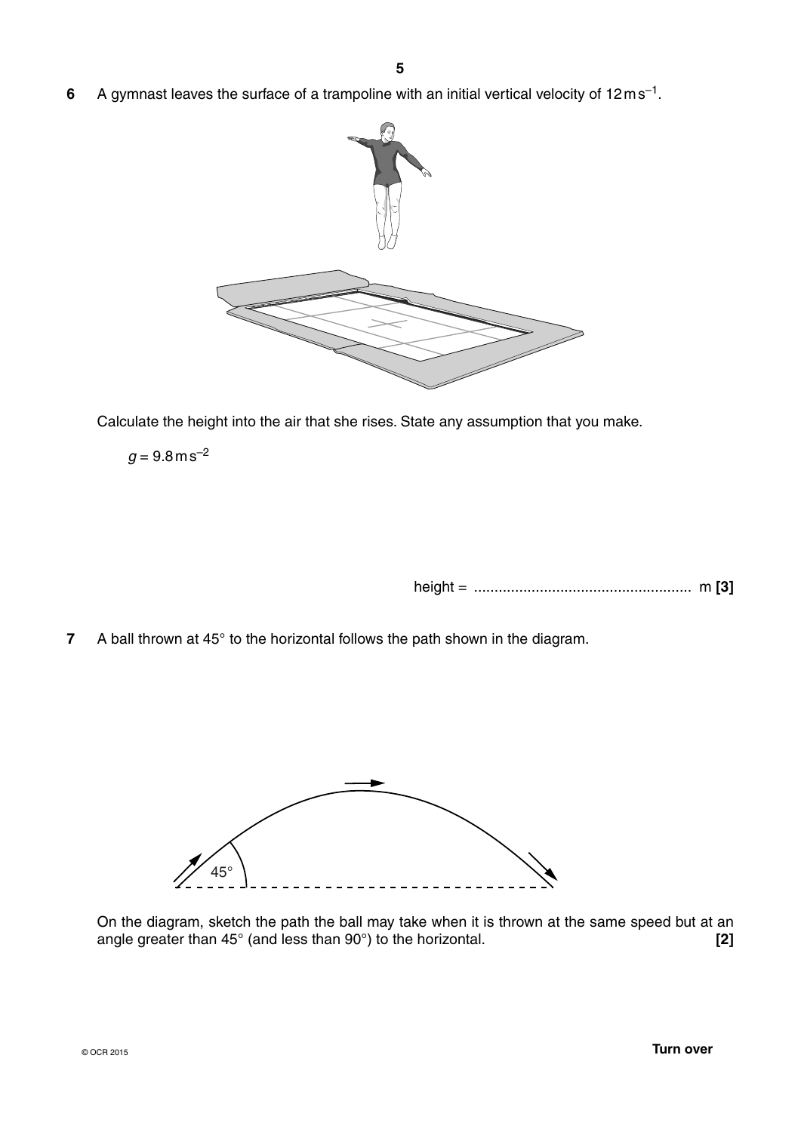**6** A gymnast leaves the surface of a trampoline with an initial vertical velocity of 12 m s–1.



Calculate the height into the air that she rises. State any assumption that you make.

 $q = 9.8 \text{ m s}^{-2}$ 

height = ..................................................... m **[3]**

**7** A ball thrown at 45° to the horizontal follows the path shown in the diagram.



On the diagram, sketch the path the ball may take when it is thrown at the same speed but at an angle greater than 45° (and less than 90°) to the horizontal. **[2]**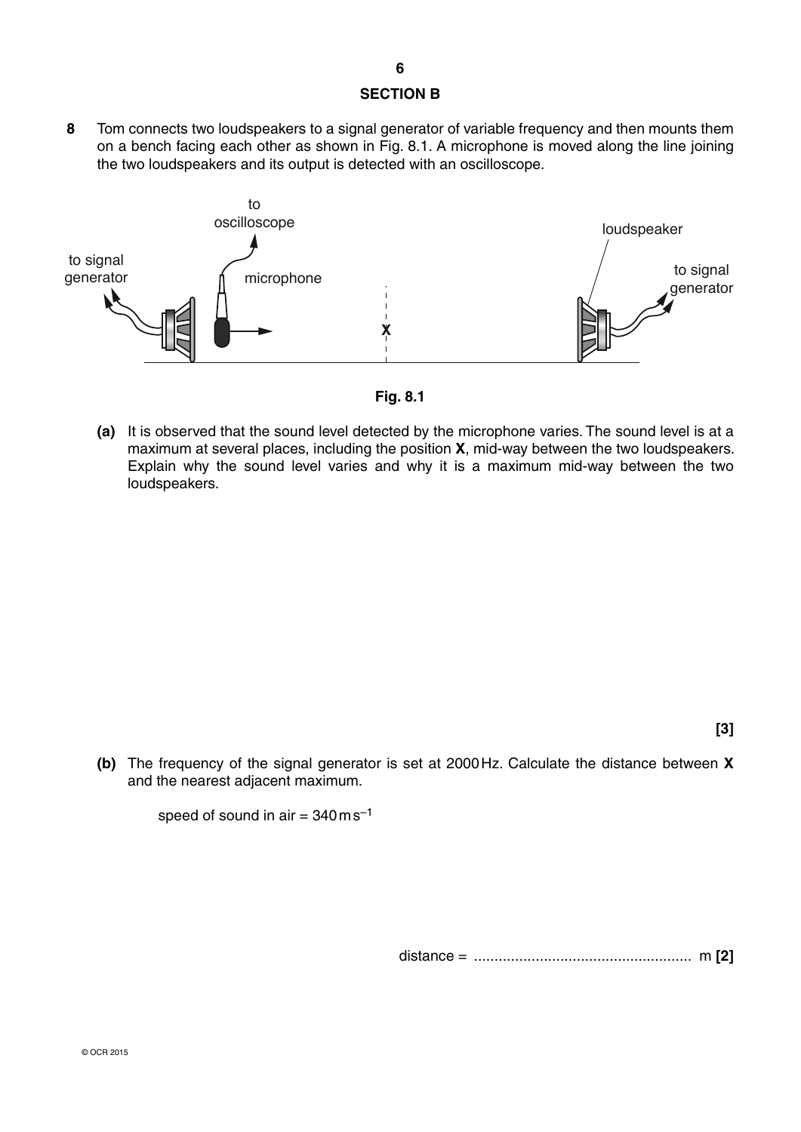## **SECTION B**

**8** Tom connects two loudspeakers to a signal generator of variable frequency and then mounts them on a bench facing each other as shown in Fig. 8.1. A microphone is moved along the line joining the two loudspeakers and its output is detected with an oscilloscope.



**Fig. 8.1**

 **(a)** It is observed that the sound level detected by the microphone varies. The sound level is at a maximum at several places, including the position **X**, mid-way between the two loudspeakers. Explain why the sound level varies and why it is a maximum mid-way between the two loudspeakers.

**[3]**

 **(b)** The frequency of the signal generator is set at 2000 Hz. Calculate the distance between **X** and the nearest adjacent maximum.

speed of sound in air  $= 340 \text{ m s}^{-1}$ 

distance = ..................................................... m **[2]**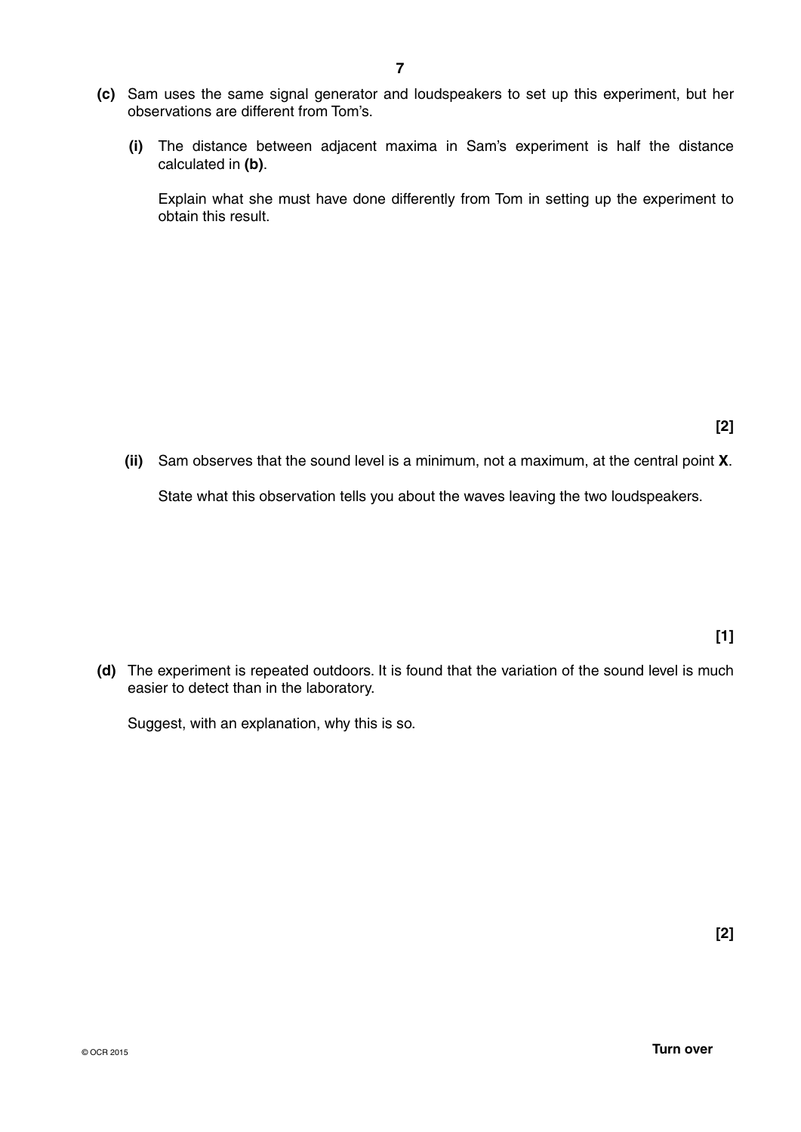- **(c)** Sam uses the same signal generator and loudspeakers to set up this experiment, but her observations are different from Tom's.
	- **(i)** The distance between adjacent maxima in Sam's experiment is half the distance calculated in **(b)**.

Explain what she must have done differently from Tom in setting up the experiment to obtain this result.

 **(ii)** Sam observes that the sound level is a minimum, not a maximum, at the central point **X**. State what this observation tells you about the waves leaving the two loudspeakers.

**[1]**

 **(d)** The experiment is repeated outdoors. It is found that the variation of the sound level is much easier to detect than in the laboratory.

Suggest, with an explanation, why this is so.

**[2]**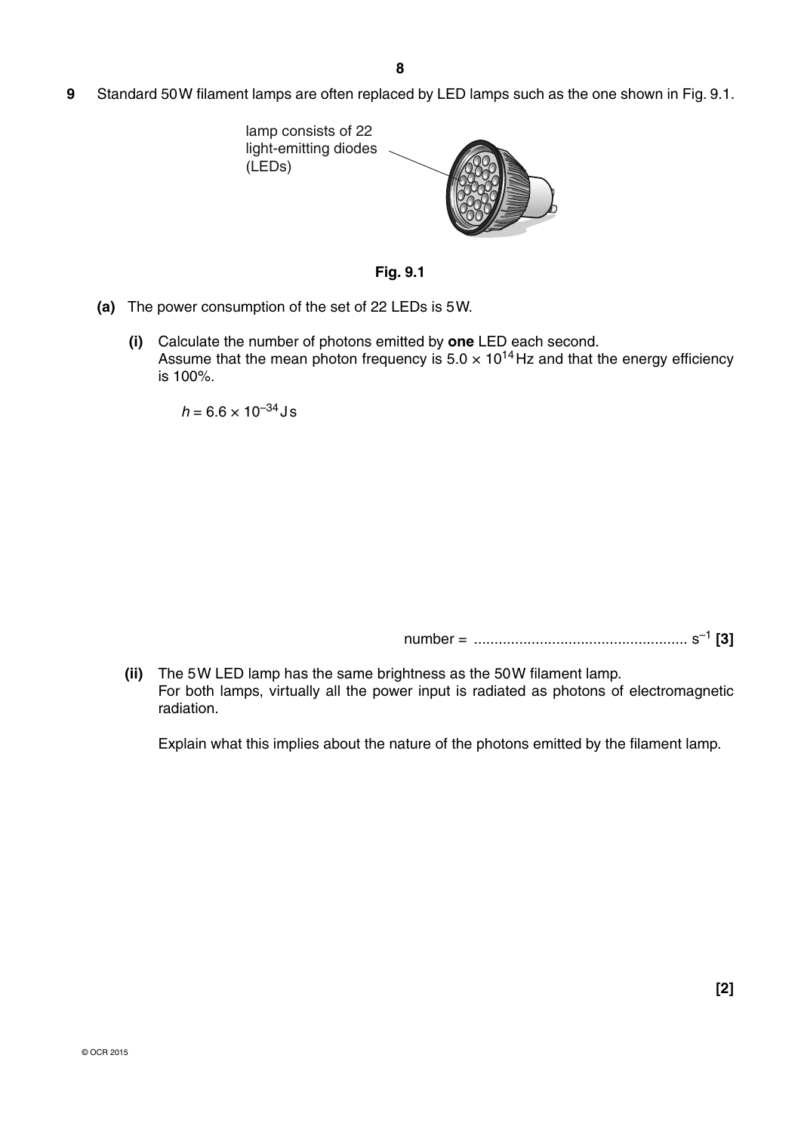**9** Standard 50 W filament lamps are often replaced by LED lamps such as the one shown in Fig. 9.1.





- **(a)** The power consumption of the set of 22 LEDs is 5 W.
	- **(i)** Calculate the number of photons emitted by **one** LED each second. Assume that the mean photon frequency is  $5.0 \times 10^{14}$  Hz and that the energy efficiency is 100%.

 $h = 6.6 \times 10^{-34}$  J s

number = .................................................... s–1 **[3]**

**(ii)** The 5W LED lamp has the same brightness as the 50W filament lamp. For both lamps, virtually all the power input is radiated as photons of electromagnetic radiation.

Explain what this implies about the nature of the photons emitted by the filament lamp.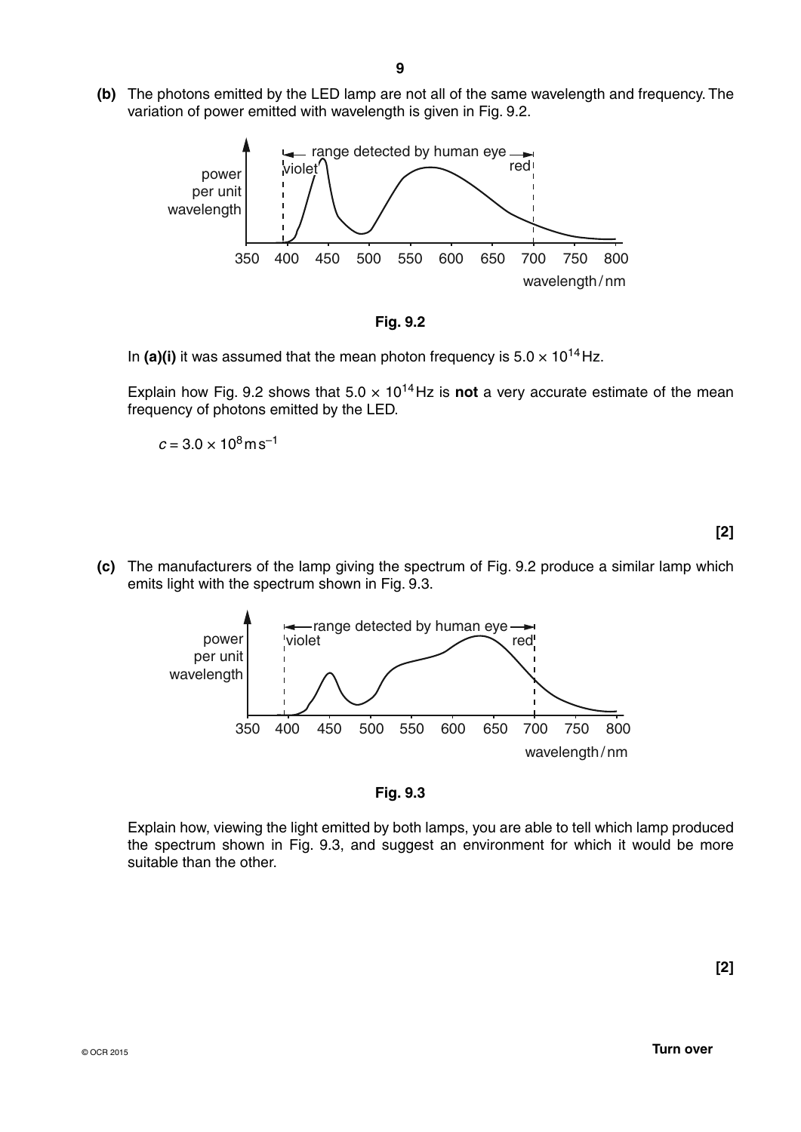**(b)** The photons emitted by the LED lamp are not all of the same wavelength and frequency. The variation of power emitted with wavelength is given in Fig. 9.2.



**Fig. 9.2**

In  $(a)(i)$  it was assumed that the mean photon frequency is  $5.0 \times 10^{14}$  Hz.

Explain how Fig. 9.2 shows that  $5.0 \times 10^{14}$  Hz is **not** a very accurate estimate of the mean frequency of photons emitted by the LED.

 $c = 3.0 \times 10^8 \text{ms}^{-1}$ 

**[2]**

 **(c)** The manufacturers of the lamp giving the spectrum of Fig. 9.2 produce a similar lamp which emits light with the spectrum shown in Fig. 9.3.



**Fig. 9.3**

Explain how, viewing the light emitted by both lamps, you are able to tell which lamp produced the spectrum shown in Fig. 9.3, and suggest an environment for which it would be more suitable than the other.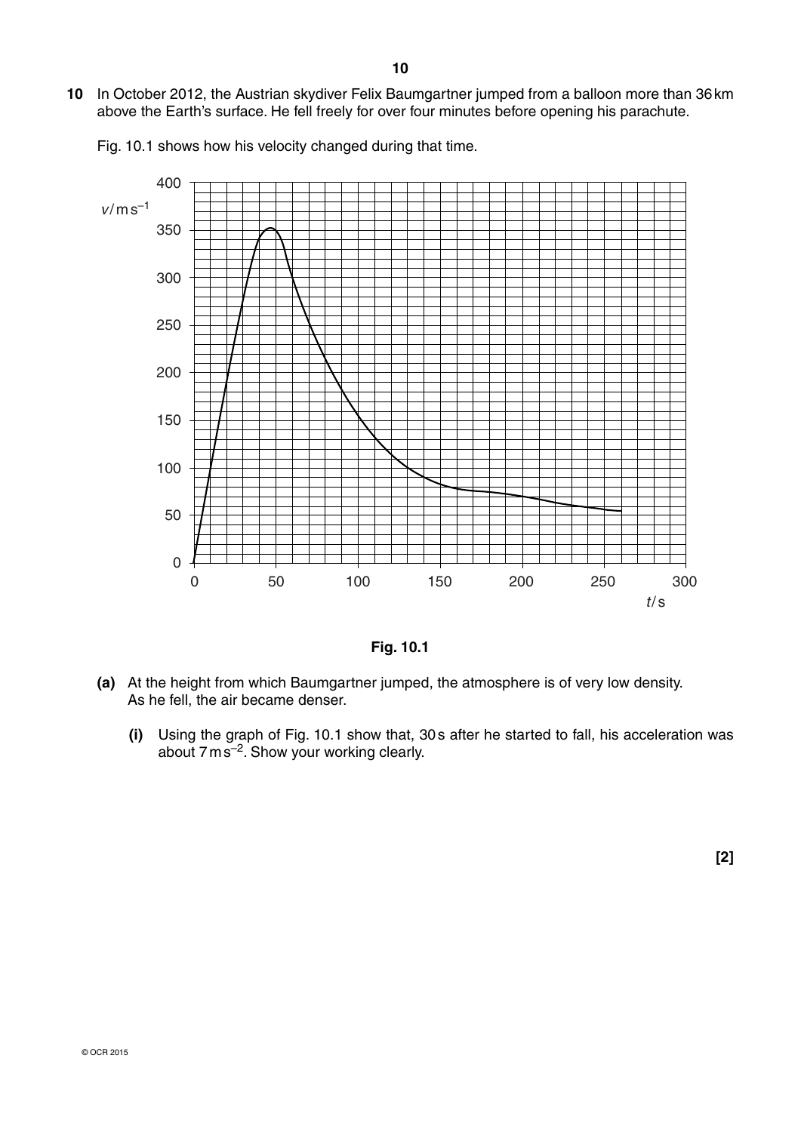**10** In October 2012, the Austrian skydiver Felix Baumgartner jumped from a balloon more than 36 km above the Earth's surface. He fell freely for over four minutes before opening his parachute.



Fig. 10.1 shows how his velocity changed during that time.

**Fig. 10.1**

- **(a)** At the height from which Baumgartner jumped, the atmosphere is of very low density. As he fell, the air became denser.
	- **(i)** Using the graph of Fig. 10.1 show that, 30 s after he started to fall, his acceleration was about 7 m s<sup>-2</sup>. Show your working clearly.

**[2]**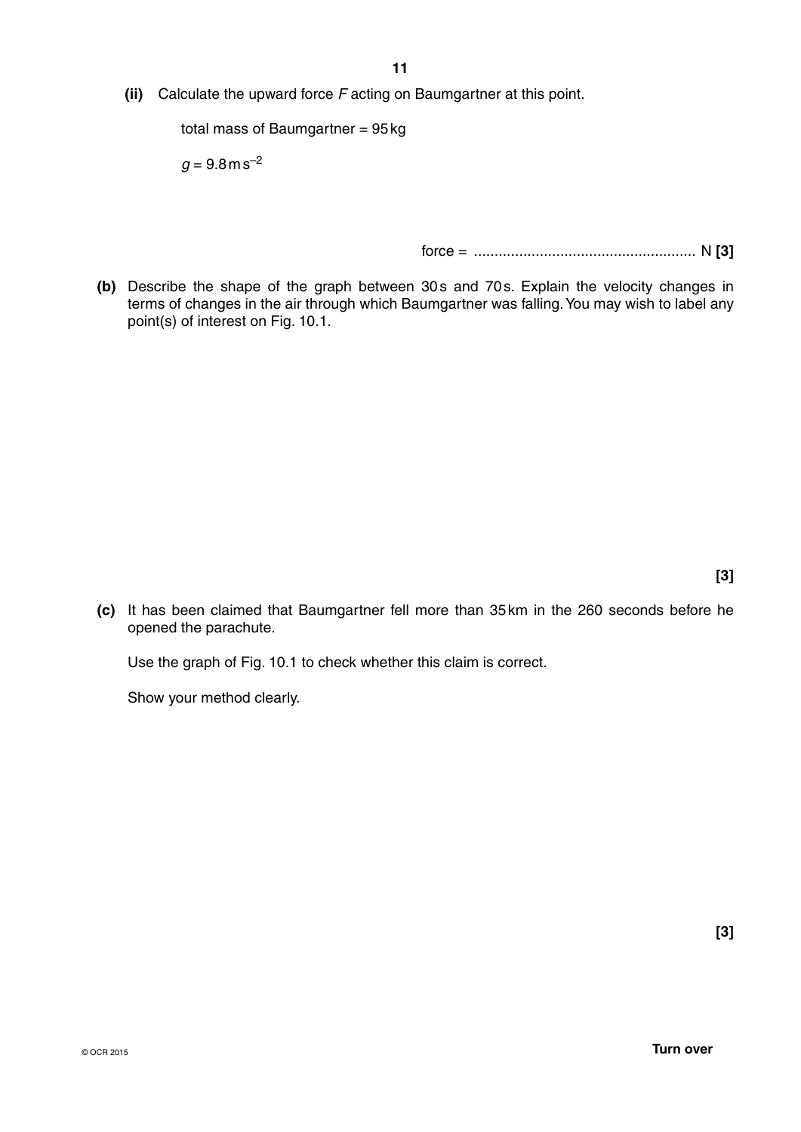**(ii)** Calculate the upward force *F* acting on Baumgartner at this point.

total mass of Baumgartner = 95 kg

 $q = 9.8 \text{ m s}^{-2}$ 

force = ...................................................... N **[3]**

**(b)** Describe the shape of the graph between 30s and 70s. Explain the velocity changes in terms of changes in the air through which Baumgartner was falling. You may wish to label any point(s) of interest on Fig. 10.1.

**[3]**

 **(c)** It has been claimed that Baumgartner fell more than 35 km in the 260 seconds before he opened the parachute.

Use the graph of Fig. 10.1 to check whether this claim is correct.

Show your method clearly.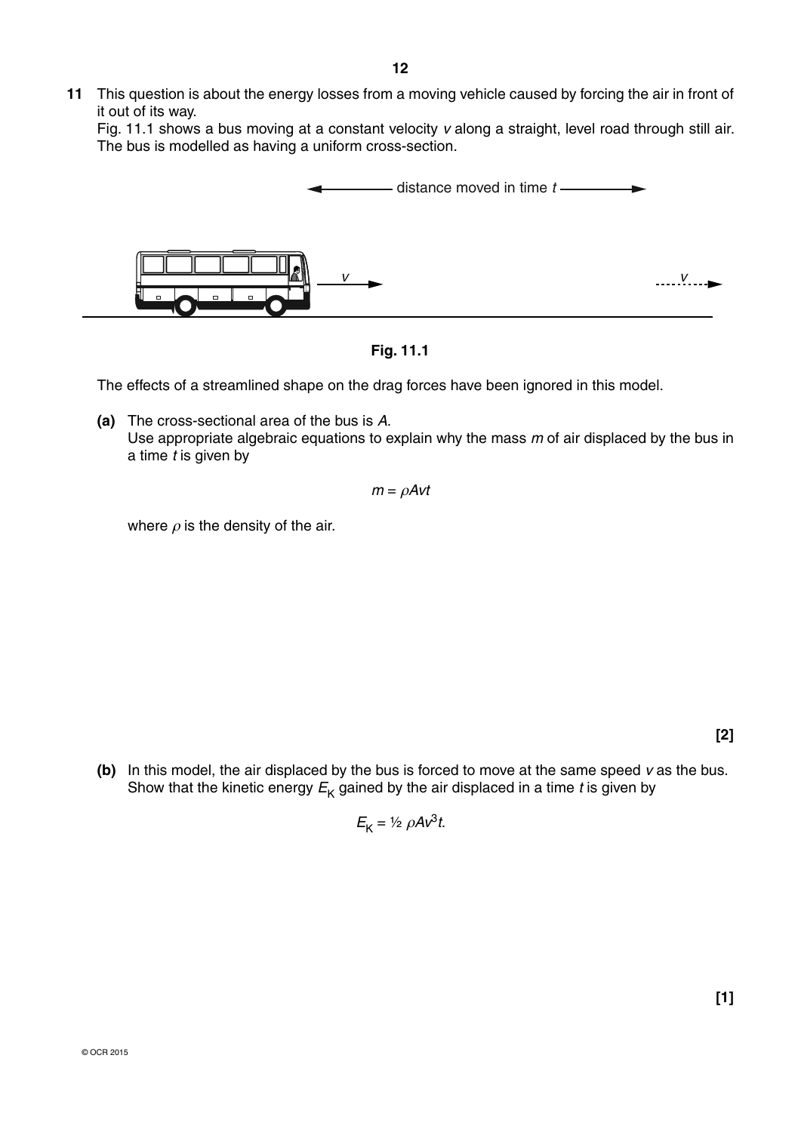**11** This question is about the energy losses from a moving vehicle caused by forcing the air in front of it out of its way.

Fig. 11.1 shows a bus moving at a constant velocity *v* along a straight, level road through still air. The bus is modelled as having a uniform cross-section.



**Fig. 11.1**

The effects of a streamlined shape on the drag forces have been ignored in this model.

 **(a)** The cross-sectional area of the bus is *A*. Use appropriate algebraic equations to explain why the mass *m* of air displaced by the bus in a time *t* is given by

$$
m = \rho A v t
$$

where  $\rho$  is the density of the air.

**[1]**

 **(b)** In this model, the air displaced by the bus is forced to move at the same speed *v* as the bus. Show that the kinetic energy  $E_K$  gained by the air displaced in a time *t* is given by

 $E_k = \frac{1}{2} \rho A v^3 t$ .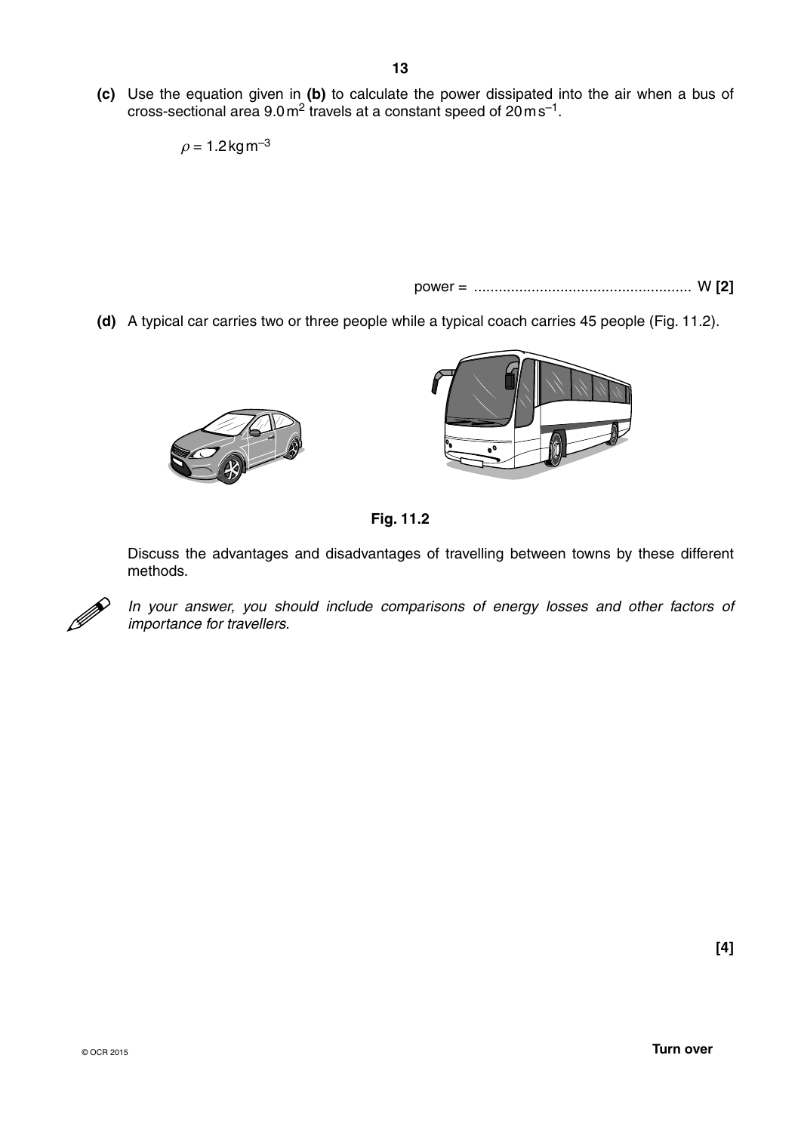**(c)** Use the equation given in **(b)** to calculate the power dissipated into the air when a bus of cross-sectional area  $9.0 \text{ m}^2$  travels at a constant speed of  $20 \text{ m s}^{-1}$ .

 $\rho = 1.2$  kg m<sup>-3</sup>

power = ..................................................... W **[2]**

 **(d)** A typical car carries two or three people while a typical coach carries 45 people (Fig. 11.2).







Discuss the advantages and disadvantages of travelling between towns by these different methods.



*In your answer, you should include comparisons of energy losses and other factors of importance for travellers.*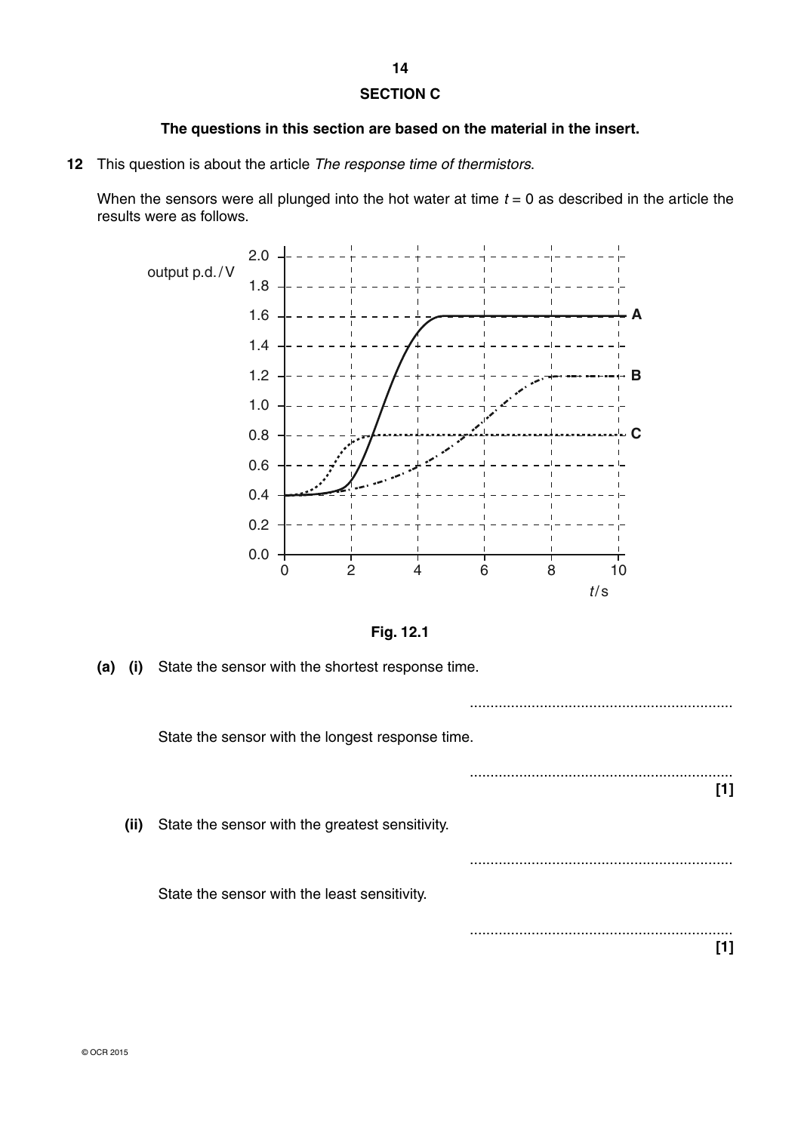#### **SECTION C**

#### **The questions in this section are based on the material in the insert.**

**12** This question is about the article *The response time of thermistors*.

When the sensors were all plunged into the hot water at time  $t = 0$  as described in the article the results were as follows.



**Fig. 12.1**

................................................................

................................................................

................................................................

................................................................

**[1]**

**[1]**

 **(a) (i)** State the sensor with the shortest response time.

State the sensor with the longest response time.

 **(ii)** State the sensor with the greatest sensitivity.

State the sensor with the least sensitivity.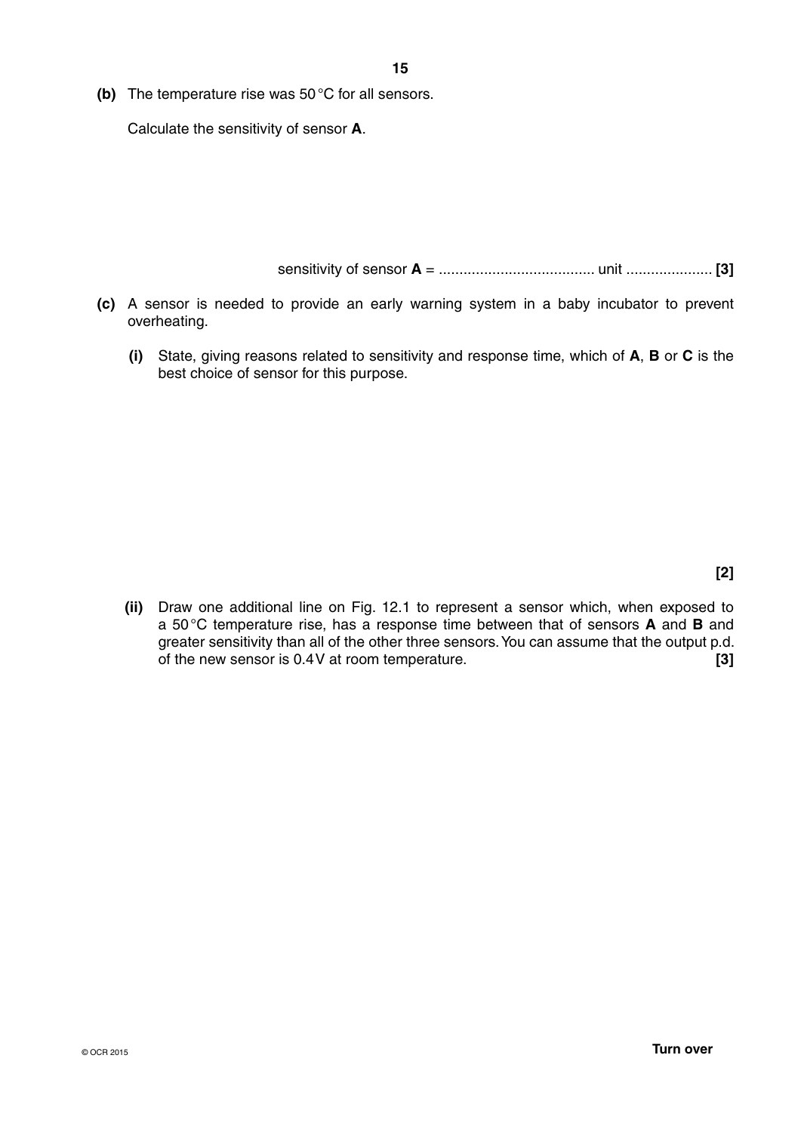**(b)** The temperature rise was 50 °C for all sensors.

Calculate the sensitivity of sensor **A**.

sensitivity of sensor **A** = ...................................... unit ..................... **[3]**

- **(c)** A sensor is needed to provide an early warning system in a baby incubator to prevent overheating.
	- **(i)** State, giving reasons related to sensitivity and response time, which of **A**, **B** or **C** is the best choice of sensor for this purpose.

**[2]**

 **(ii)** Draw one additional line on Fig. 12.1 to represent a sensor which, when exposed to a 50 °C temperature rise, has a response time between that of sensors **A** and **B** and greater sensitivity than all of the other three sensors. You can assume that the output p.d. of the new sensor is 0.4 V at room temperature. **[3]**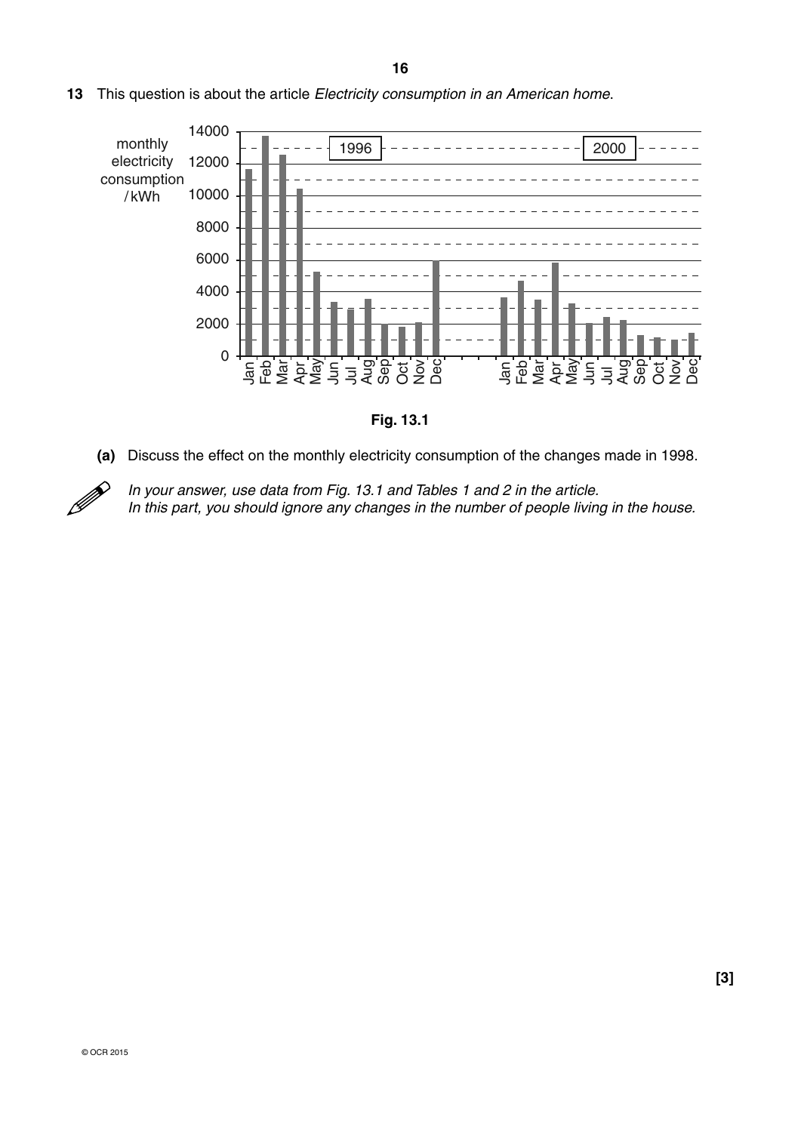

**13** This question is about the article *Electricity consumption in an American home*.

**Fig. 13.1**

 **(a)** Discuss the effect on the monthly electricity consumption of the changes made in 1998.



*In your answer, use data from Fig. 13.1 and Tables 1 and 2 in the article.* In this part, you should ignore any changes in the number of people living in the house.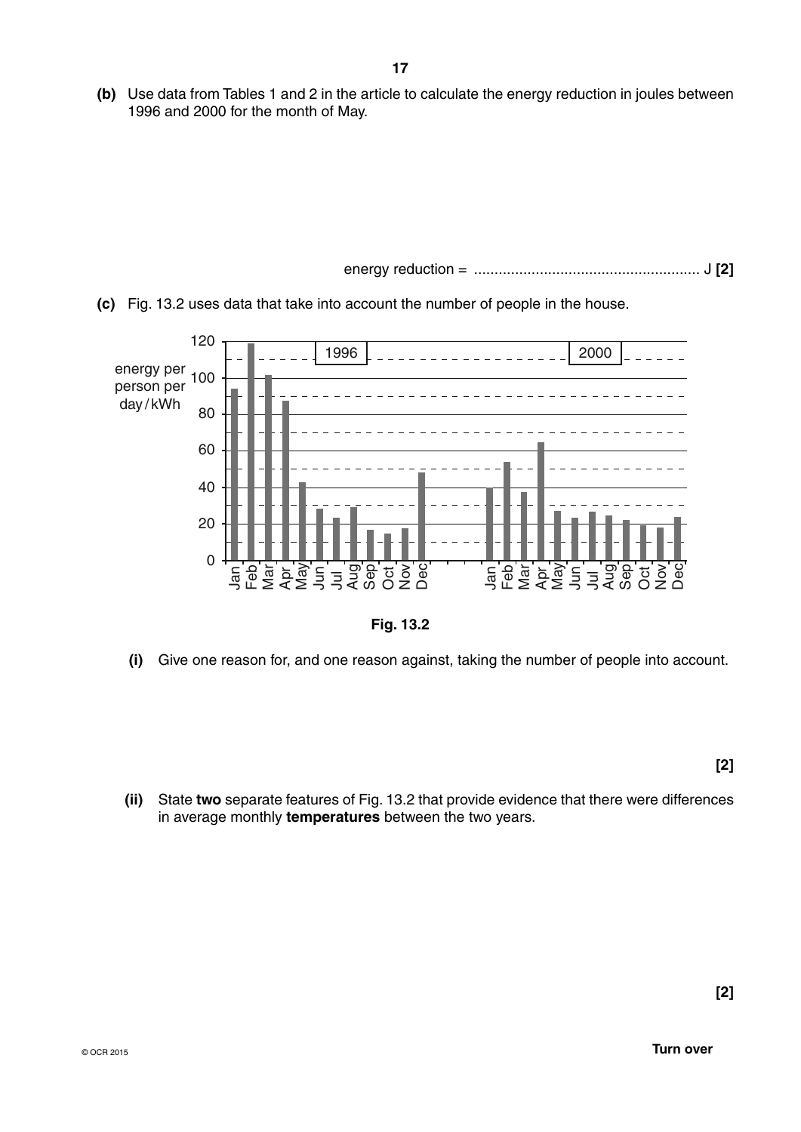**(b)** Use data from Tables 1 and 2 in the article to calculate the energy reduction in joules between 1996 and 2000 for the month of May.

energy reduction = ....................................................... J **[2]**



 **(c)** Fig. 13.2 uses data that take into account the number of people in the house.



 **(i)** Give one reason for, and one reason against, taking the number of people into account.

**[2]**

 **(ii)** State **two** separate features of Fig. 13.2 that provide evidence that there were differences in average monthly **temperatures** between the two years.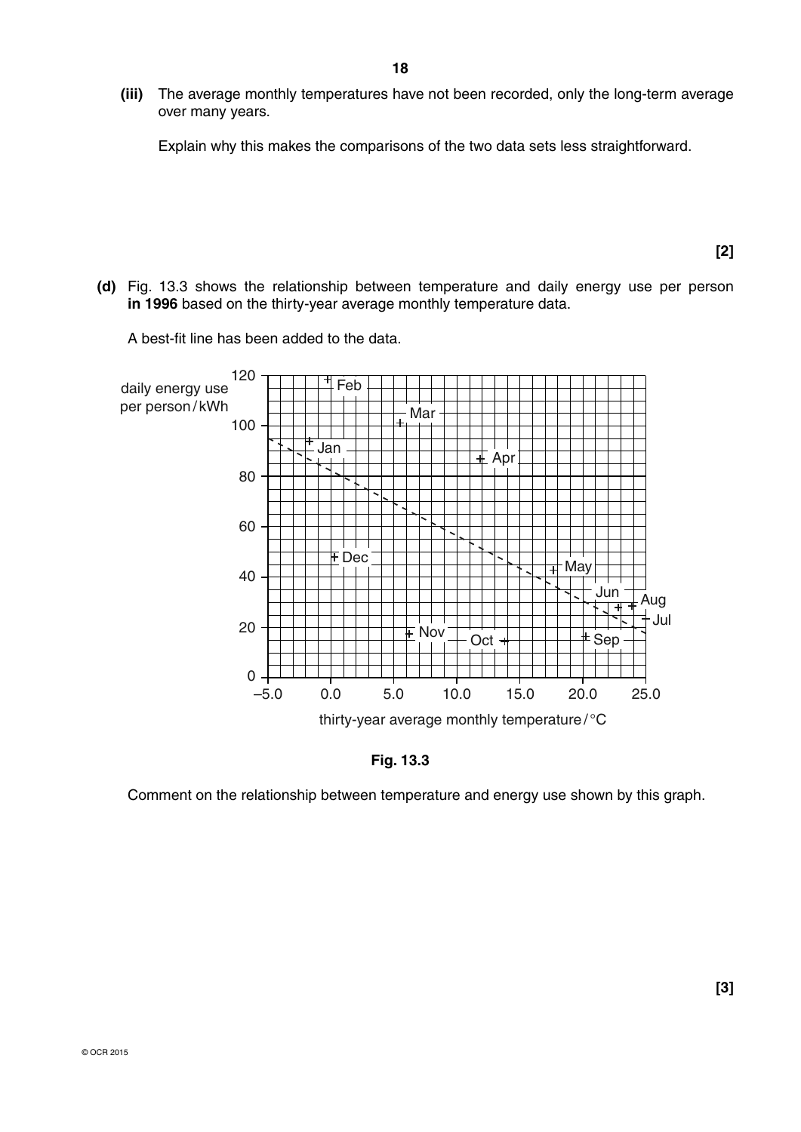**(iii)** The average monthly temperatures have not been recorded, only the long-term average over many years.

Explain why this makes the comparisons of the two data sets less straightforward.

 **(d)** Fig. 13.3 shows the relationship between temperature and daily energy use per person **in 1996** based on the thirty-year average monthly temperature data.

A best-fit line has been added to the data.



**Fig. 13.3**

Comment on the relationship between temperature and energy use shown by this graph.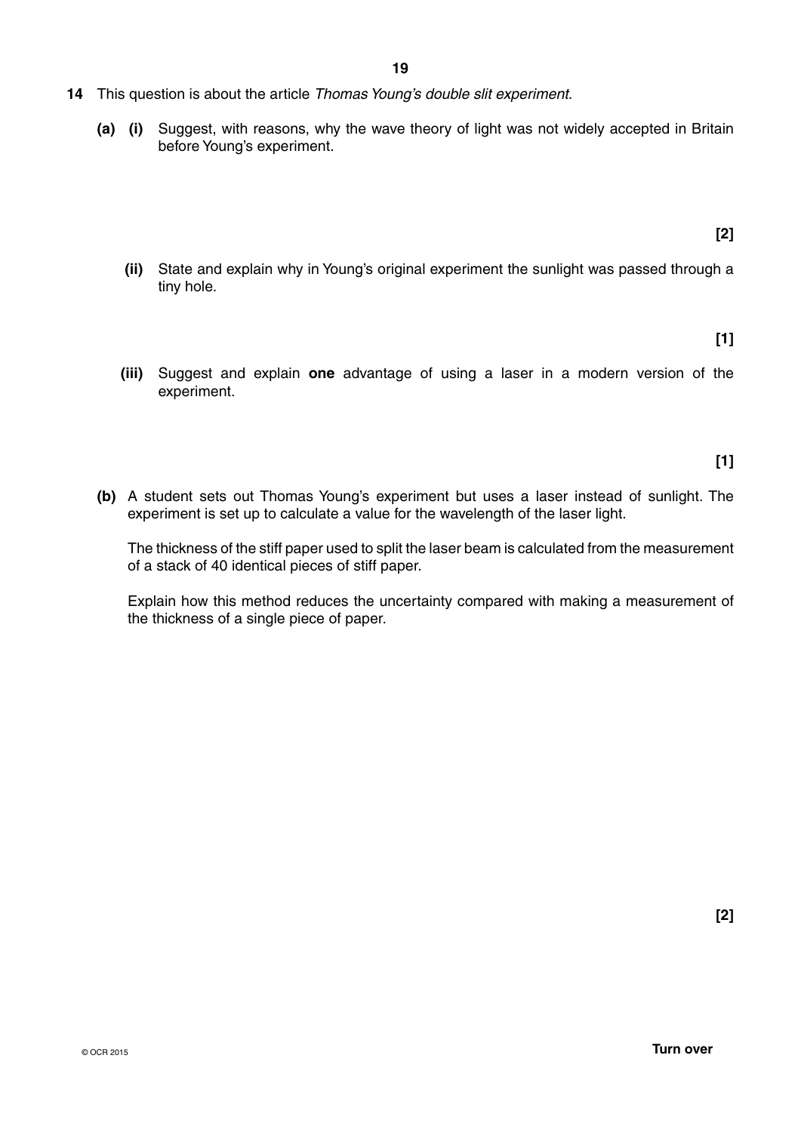- **14** This question is about the article *Thomas Young's double slit experiment*.
	- **(a) (i)** Suggest, with reasons, why the wave theory of light was not widely accepted in Britain before Young's experiment.

**[2]**

 **(ii)** State and explain why in Young's original experiment the sunlight was passed through a tiny hole.

**[1]**

 **(iii)** Suggest and explain **one** advantage of using a laser in a modern version of the experiment.

**[1]**

 **(b)** A student sets out Thomas Young's experiment but uses a laser instead of sunlight. The experiment is set up to calculate a value for the wavelength of the laser light.

The thickness of the stiff paper used to split the laser beam is calculated from the measurement of a stack of 40 identical pieces of stiff paper.

Explain how this method reduces the uncertainty compared with making a measurement of the thickness of a single piece of paper.

**[2]**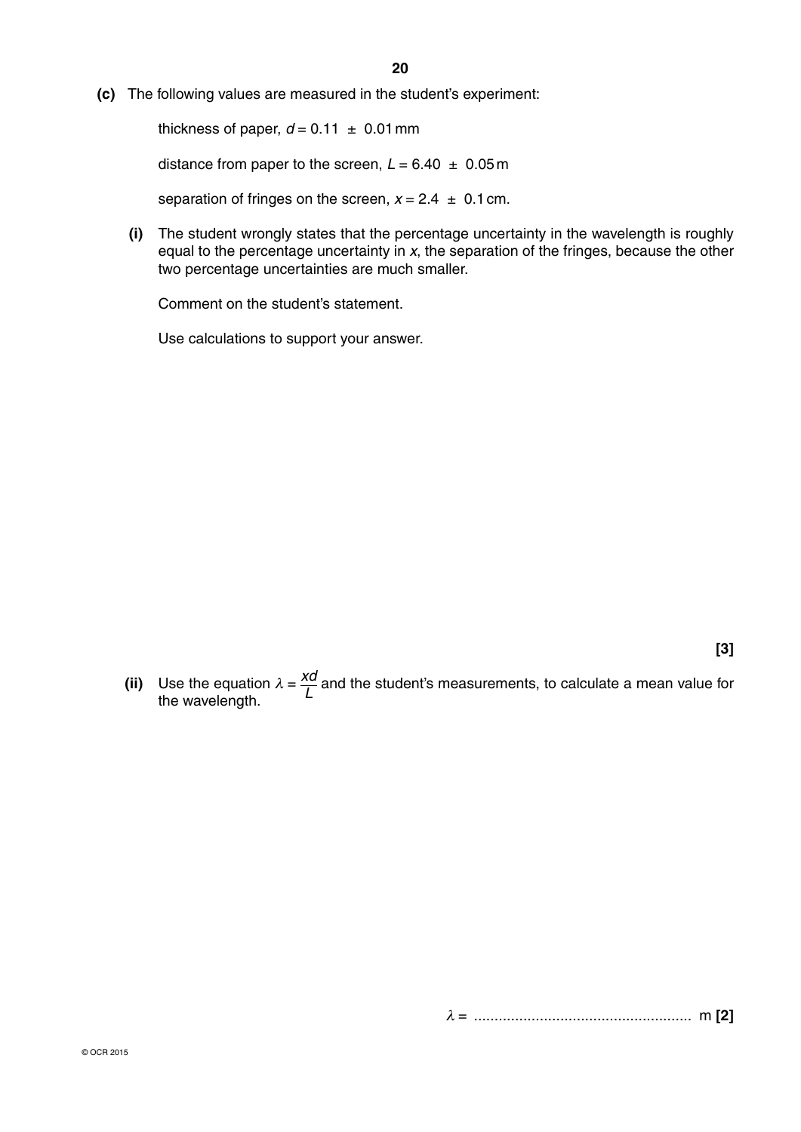**(c)** The following values are measured in the student's experiment:

thickness of paper,  $d = 0.11 \pm 0.01$  mm

distance from paper to the screen,  $L = 6.40 \pm 0.05$  m

separation of fringes on the screen,  $x = 2.4 \pm 0.1$  cm.

 **(i)** The student wrongly states that the percentage uncertainty in the wavelength is roughly equal to the percentage uncertainty in *x*, the separation of the fringes, because the other two percentage uncertainties are much smaller.

Comment on the student's statement.

Use calculations to support your answer.

**[3]**

**(ii)** Use the equation  $\lambda = \frac{xd}{L}$  and the student's measurements, to calculate a mean value for the wavelength.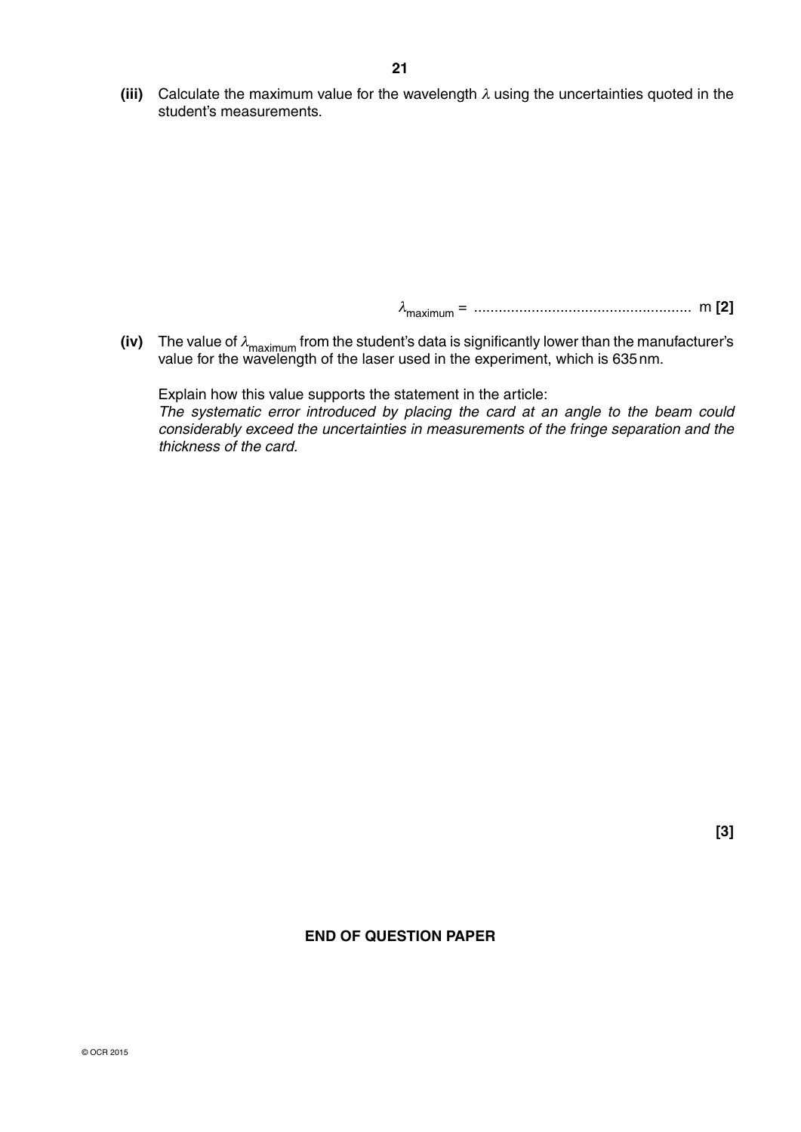**(iii)** Calculate the maximum value for the wavelength λ using the uncertainties quoted in the student's measurements.

<sup>λ</sup>maximum = ..................................................... m **[2]**

**(iv)** The value of  $\lambda_{\text{maximum}}$  from the student's data is significantly lower than the manufacturer's value for the wavelength of the laser used in the experiment, which is 635 nm.

Explain how this value supports the statement in the article:

*The systematic error introduced by placing the card at an angle to the beam could considerably exceed the uncertainties in measurements of the fringe separation and the thickness of the card.*

# **[3]**

# **END OF QUESTION PAPER**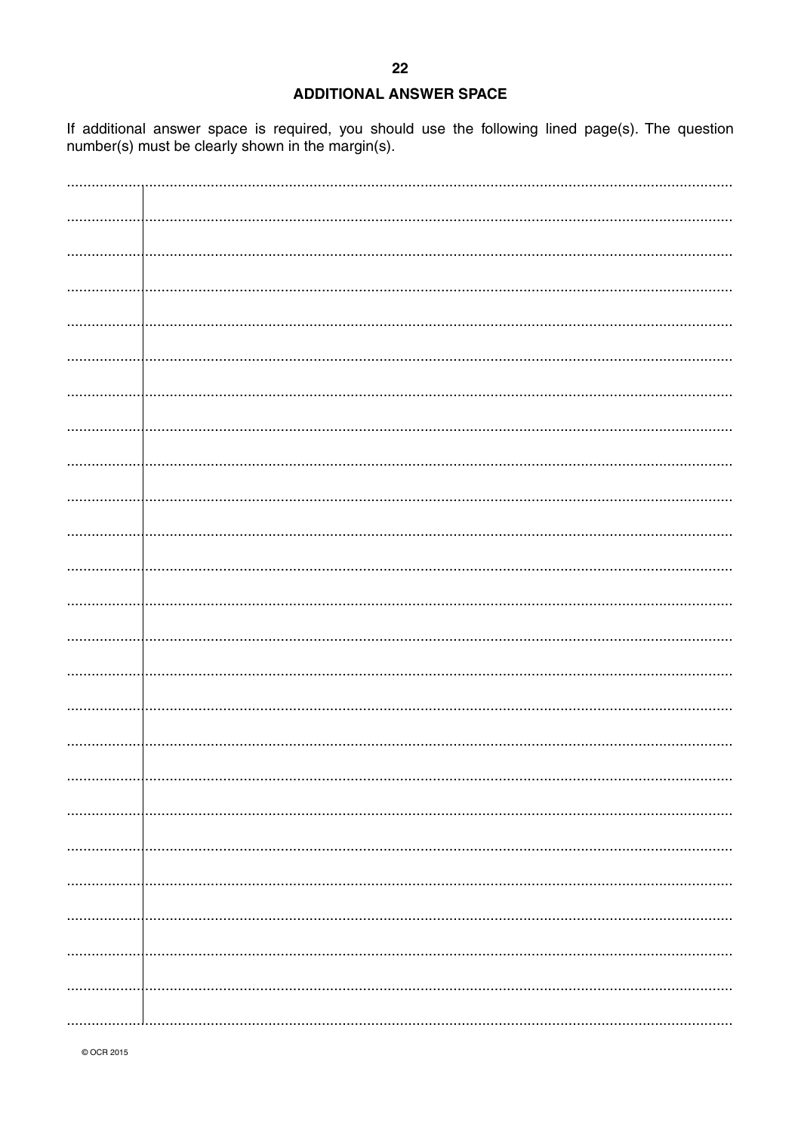### **ADDITIONAL ANSWER SPACE**

If additional answer space is required, you should use the following lined page(s). The question number(s) must be clearly shown in the margin(s).

© OCR 2015